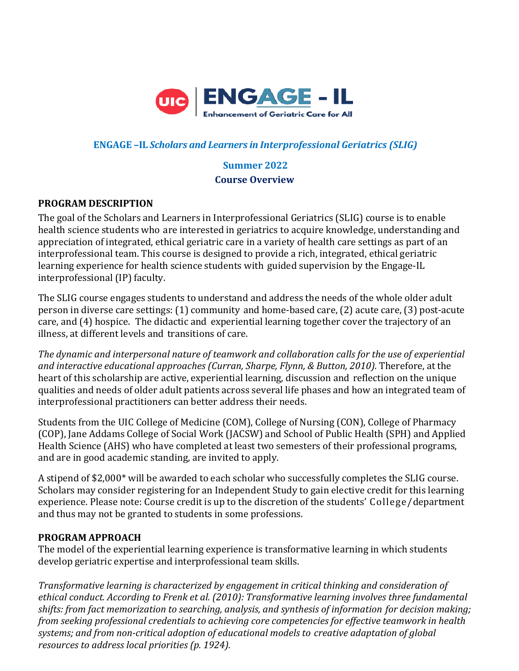

## **ENGAGE –IL** *Scholars and Learners in Interprofessional Geriatrics (SLIG)*

# **Summer 2022 Course Overview**

#### **PROGRAM DESCRIPTION**

The goal of the Scholars and Learners in Interprofessional Geriatrics (SLIG) course is to enable health science students who are interested in geriatrics to acquire knowledge, understanding and appreciation of integrated, ethical geriatric care in a variety of health care settings as part of an interprofessional team. This course is designed to provide a rich, integrated, ethical geriatric learning experience for health science students with guided supervision by the Engage-IL interprofessional (IP) faculty.

The SLIG course engages students to understand and address the needs of the whole older adult person in diverse care settings: (1) community and home-based care, (2) acute care, (3) post-acute care, and (4) hospice. The didactic and experiential learning together cover the trajectory of an illness, at different levels and transitions of care.

*The dynamic and interpersonal nature of teamwork and collaboration calls for the use of experiential and interactive educational approaches (Curran, Sharpe, Flynn, & Button, 2010).* Therefore, at the heart of this scholarship are active, experiential learning, discussion and reflection on the unique qualities and needs of older adult patients across several life phases and how an integrated team of interprofessional practitioners can better address their needs.

Students from the UIC College of Medicine (COM), College of Nursing (CON), College of Pharmacy (COP), Jane Addams College of Social Work (JACSW) and School of Public Health (SPH) and Applied Health Science (AHS) who have completed at least two semesters of their professional programs, and are in good academic standing, are invited to apply.

A stipend of \$2,000\* will be awarded to each scholar who successfully completes the SLIG course. Scholars may consider registering for an Independent Study to gain elective credit for this learning experience. Please note: Course credit is up to the discretion of the students' College/department and thus may not be granted to students in some professions.

#### **PROGRAM APPROACH**

The model of the experiential learning experience is transformative learning in which students develop geriatric expertise and interprofessional team skills.

*Transformative learning is characterized by engagement in critical thinking and consideration of ethical conduct. According to Frenk et al. (2010): Transformative learning involves three fundamental shifts: from fact memorization to searching, analysis, and synthesis of information for decision making; from seeking professional credentials to achieving core competencies for effective teamwork in health systems; and from non-critical adoption of educational models to creative adaptation of global resources to address local priorities (p. 1924).*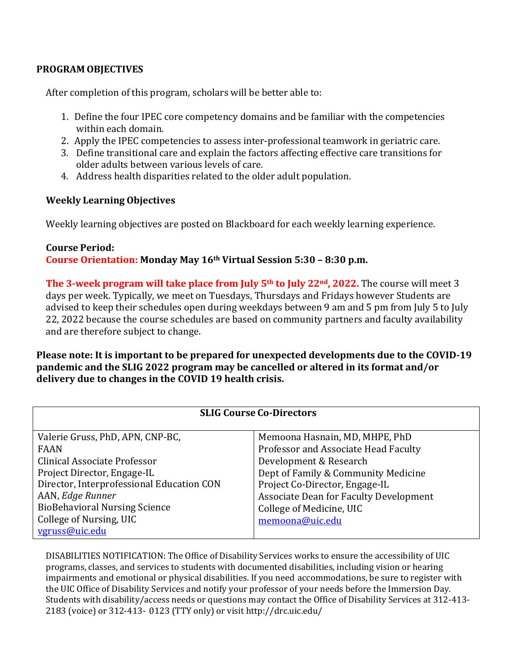## **PROGRAM OBJECTIVES**

After completion of this program, scholars will be better able to:

- 1. Define the four IPEC core competency domains and be familiar with the competencies within each domain.
- 2. Apply the IPEC competencies to assess inter-professional teamwork in geriatric care.
- 3. Define transitional care and explain the factors affecting effective care transitions for older adults between various levels of care.
- 4. Address health disparities related to the older adult population.

## **Weekly Learning Objectives**

Weekly learning objectives are posted on Blackboard for each weekly learning experience.

## **Course Period: Course Orientation: Monday May 16th Virtual Session 5:30 – 8:30 p.m.**

**The 3-week program will take place from July 5th to July 22nd, 2022.** The course will meet 3 days per week. Typically, we meet on Tuesdays, Thursdays and Fridays however Students are advised to keep their schedules open during weekdays between 9 am and 5 pm from July 5 to July 22, 2022 because the course schedules are based on community partners and faculty availability and are therefore subject to change.

**Please note: It is important to be prepared for unexpected developments due to the COVID-19 pandemic and the SLIG 2022 program may be cancelled or altered in its format and/or delivery due to changes in the COVID 19 health crisis.** 

| <b>SLIG Course Co-Directors</b>           |                                               |
|-------------------------------------------|-----------------------------------------------|
| Valerie Gruss, PhD, APN, CNP-BC,          | Memoona Hasnain, MD, MHPE, PhD                |
| FAAN                                      | Professor and Associate Head Faculty          |
| Clinical Associate Professor              | Development & Research                        |
| Project Director, Engage-IL               | Dept of Family & Community Medicine           |
| Director, Interprofessional Education CON | Project Co-Director, Engage-IL                |
| AAN, Edge Runner                          | <b>Associate Dean for Faculty Development</b> |
| <b>BioBehavioral Nursing Science</b>      | College of Medicine, UIC                      |
| College of Nursing, UIC                   | memoona@uic.edu                               |
| vgruss@uic.edu                            |                                               |

DISABILITIES NOTIFICATION: The Office of Disability Services works to ensure the accessibility of UIC programs, classes, and services to students with documented disabilities, including vision or hearing impairments and emotional or physical disabilities. If you need accommodations, be sure to register with the UIC Office of Disability Services and notify your professor of your needs before the Immersion Day. Students with disability/access needs or questions may contact the Office of Disability Services at 312-413- 2183 (voice) or 312-413- 0123 (TTY only) or visit <http://drc.uic.edu/>